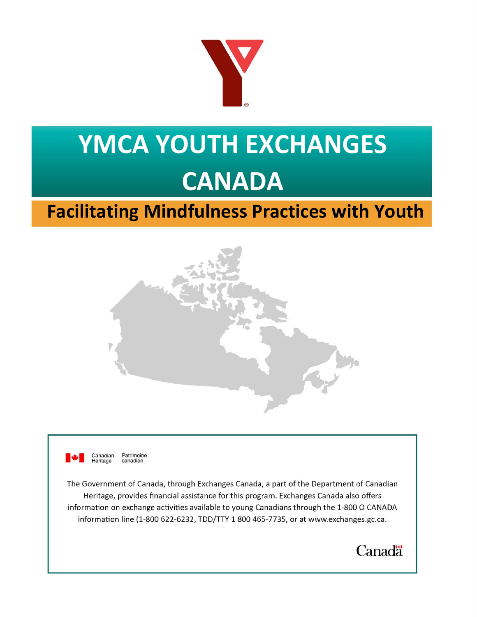

# **YMCA YOUTH EXCHANGES CANADA**

# **Facilitating Mindfulness Practices with Youth**





 Canadian **Heritage** Patrimoine canadien

The Government of Canada, through Exchanges Canada, a part of the Department of Canadian Heritage, provides financial assistance for this program. Exchanges Canada also offers information on exchange activities available to young Canadians through the 1-800 O CANADA information line (1-800 622-6232, TDD/TTY 1 800 465-7735, or at [www.exchanges.gc.ca](http://www.exchanges.gc.ca).

**Canadä**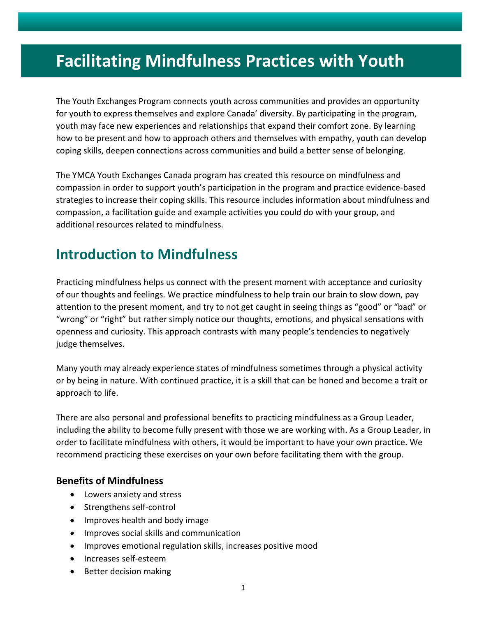## **Facilitating Mindfulness Practices with Youth**

The Youth Exchanges Program connects youth across communities and provides an opportunity for youth to express themselves and explore Canada' diversity. By participating in the program, youth may face new experiences and relationships that expand their comfort zone. By learning how to be present and how to approach others and themselves with empathy, youth can develop coping skills, deepen connections across communities and build a better sense of belonging.

The YMCA Youth Exchanges Canada program has created this resource on mindfulness and compassion in order to support youth's participation in the program and practice evidence-based strategies to increase their coping skills. This resource includes information about mindfulness and compassion, a facilitation guide and example activities you could do with your group, and additional resources related to mindfulness.

## **Introduction to Mindfulness**

Practicing mindfulness helps us connect with the present moment with acceptance and curiosity of our thoughts and feelings. We practice mindfulness to help train our brain to slow down, pay attention to the present moment, and try to not get caught in seeing things as "good" or "bad" or "wrong" or "right" but rather simply notice our thoughts, emotions, and physical sensations with openness and curiosity. This approach contrasts with many people's tendencies to negatively judge themselves.

Many youth may already experience states of mindfulness sometimes through a physical activity or by being in nature. With continued practice, it is a skill that can be honed and become a trait or approach to life.

There are also personal and professional benefits to practicing mindfulness as a Group Leader, including the ability to become fully present with those we are working with. As a Group Leader, in order to facilitate mindfulness with others, it would be important to have your own practice. We recommend practicing these exercises on your own before facilitating them with the group.

#### **Benefits of Mindfulness**

- Lowers anxiety and stress
- Strengthens self-control
- Improves health and body image
- Improves social skills and communication
- Improves emotional regulation skills, increases positive mood
- Increases self-esteem
- Better decision making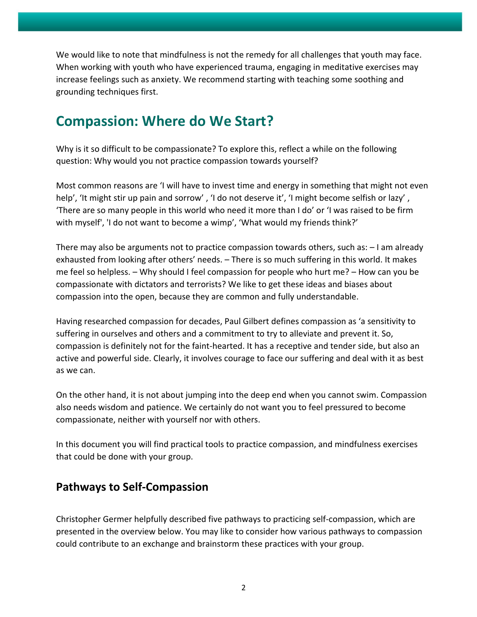We would like to note that mindfulness is not the remedy for all challenges that youth may face. When working with youth who have experienced trauma, engaging in meditative exercises may increase feelings such as anxiety. We recommend starting with teaching some soothing and grounding techniques first.

## **Compassion: Where do We Start?**

Why is it so difficult to be compassionate? To explore this, reflect a while on the following question: Why would you not practice compassion towards yourself?

Most common reasons are 'I will have to invest time and energy in something that might not even help', 'It might stir up pain and sorrow', 'I do not deserve it', 'I might become selfish or lazy', 'There are so many people in this world who need it more than I do' or 'I was raised to be firm with myself', 'I do not want to become a wimp', 'What would my friends think?'

There may also be arguments not to practice compassion towards others, such as: – I am already exhausted from looking after others' needs. – There is so much suffering in this world. It makes me feel so helpless. – Why should I feel compassion for people who hurt me? – How can you be compassionate with dictators and terrorists? We like to get these ideas and biases about compassion into the open, because they are common and fully understandable.

Having researched compassion for decades, Paul Gilbert defines compassion as 'a sensitivity to suffering in ourselves and others and a commitment to try to alleviate and prevent it. So, compassion is definitely not for the faint-hearted. It has a receptive and tender side, but also an active and powerful side. Clearly, it involves courage to face our suffering and deal with it as best as we can.

On the other hand, it is not about jumping into the deep end when you cannot swim. Compassion also needs wisdom and patience. We certainly do not want you to feel pressured to become compassionate, neither with yourself nor with others.

In this document you will find practical tools to practice compassion, and mindfulness exercises that could be done with your group.

#### **Pathways to Self-Compassion**

Christopher Germer helpfully described five pathways to practicing self-compassion, which are presented in the overview below. You may like to consider how various pathways to compassion could contribute to an exchange and brainstorm these practices with your group.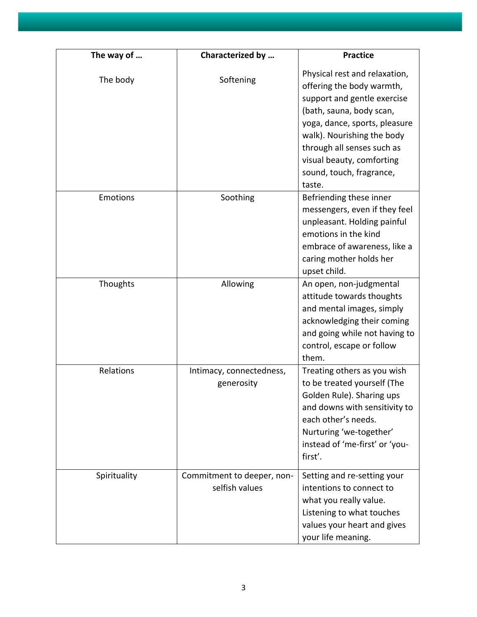| The way of   | Characterized by                             | <b>Practice</b>                                                                                                                                                                                                                                                                       |
|--------------|----------------------------------------------|---------------------------------------------------------------------------------------------------------------------------------------------------------------------------------------------------------------------------------------------------------------------------------------|
| The body     | Softening                                    | Physical rest and relaxation,<br>offering the body warmth,<br>support and gentle exercise<br>(bath, sauna, body scan,<br>yoga, dance, sports, pleasure<br>walk). Nourishing the body<br>through all senses such as<br>visual beauty, comforting<br>sound, touch, fragrance,<br>taste. |
| Emotions     | Soothing                                     | Befriending these inner<br>messengers, even if they feel<br>unpleasant. Holding painful<br>emotions in the kind<br>embrace of awareness, like a<br>caring mother holds her<br>upset child.                                                                                            |
| Thoughts     | Allowing                                     | An open, non-judgmental<br>attitude towards thoughts<br>and mental images, simply<br>acknowledging their coming<br>and going while not having to<br>control, escape or follow<br>them.                                                                                                |
| Relations    | Intimacy, connectedness,<br>generosity       | Treating others as you wish<br>to be treated yourself (The<br>Golden Rule). Sharing ups<br>and downs with sensitivity to<br>each other's needs.<br>Nurturing 'we-together'<br>instead of 'me-first' or 'you-<br>first'.                                                               |
| Spirituality | Commitment to deeper, non-<br>selfish values | Setting and re-setting your<br>intentions to connect to<br>what you really value.<br>Listening to what touches<br>values your heart and gives<br>your life meaning.                                                                                                                   |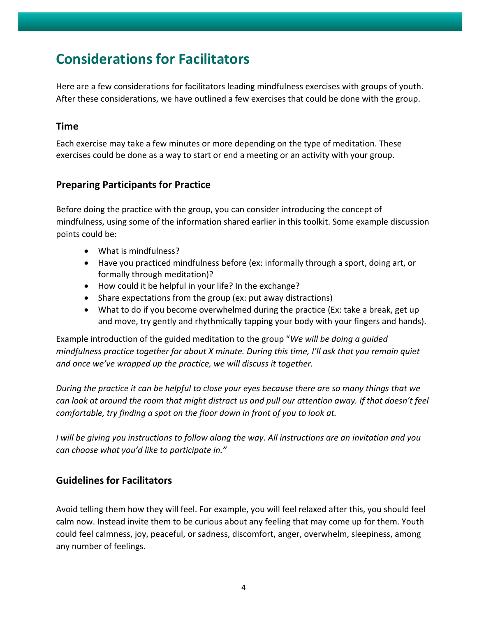## **Considerations for Facilitators**

Here are a few considerations for facilitators leading mindfulness exercises with groups of youth. After these considerations, we have outlined a few exercises that could be done with the group.

#### **Time**

Each exercise may take a few minutes or more depending on the type of meditation. These exercises could be done as a way to start or end a meeting or an activity with your group.

#### **Preparing Participants for Practice**

Before doing the practice with the group, you can consider introducing the concept of mindfulness, using some of the information shared earlier in this toolkit. Some example discussion points could be:

- What is mindfulness?
- Have you practiced mindfulness before (ex: informally through a sport, doing art, or formally through meditation)?
- How could it be helpful in your life? In the exchange?
- Share expectations from the group (ex: put away distractions)
- What to do if you become overwhelmed during the practice (Ex: take a break, get up and move, try gently and rhythmically tapping your body with your fingers and hands).

Example introduction of the guided meditation to the group "*We will be doing a guided mindfulness practice together for about X minute. During this time, I'll ask that you remain quiet and once we've wrapped up the practice, we will discuss it together.* 

*During the practice it can be helpful to close your eyes because there are so many things that we can look at around the room that might distract us and pull our attention away. If that doesn't feel comfortable, try finding a spot on the floor down in front of you to look at.*

*I will be giving you instructions to follow along the way. All instructions are an invitation and you can choose what you'd like to participate in."*

#### **Guidelines for Facilitators**

Avoid telling them how they will feel. For example, you will feel relaxed after this, you should feel calm now. Instead invite them to be curious about any feeling that may come up for them. Youth could feel calmness, joy, peaceful, or sadness, discomfort, anger, overwhelm, sleepiness, among any number of feelings.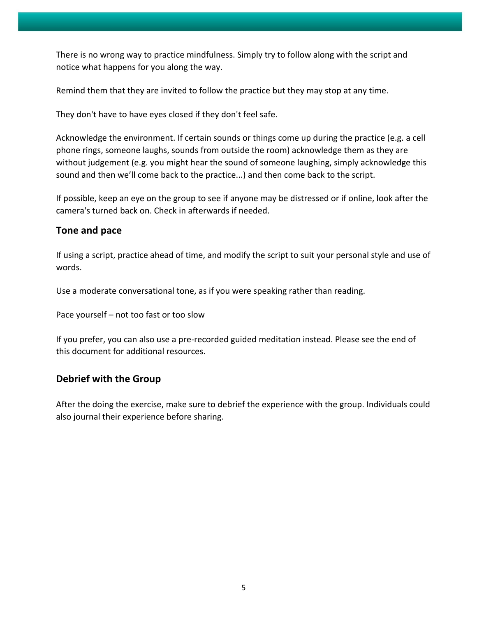There is no wrong way to practice mindfulness. Simply try to follow along with the script and notice what happens for you along the way.

Remind them that they are invited to follow the practice but they may stop at any time.

They don't have to have eyes closed if they don't feel safe.

Acknowledge the environment. If certain sounds or things come up during the practice (e.g. a cell phone rings, someone laughs, sounds from outside the room) acknowledge them as they are without judgement (e.g. you might hear the sound of someone laughing, simply acknowledge this sound and then we'll come back to the practice...) and then come back to the script.

If possible, keep an eye on the group to see if anyone may be distressed or if online, look after the camera's turned back on. Check in afterwards if needed.

#### **Tone and pace**

If using a script, practice ahead of time, and modify the script to suit your personal style and use of words.

Use a moderate conversational tone, as if you were speaking rather than reading.

Pace yourself – not too fast or too slow

If you prefer, you can also use a pre-recorded guided meditation instead. Please see the end of this document for additional resources.

#### **Debrief with the Group**

After the doing the exercise, make sure to debrief the experience with the group. Individuals could also journal their experience before sharing.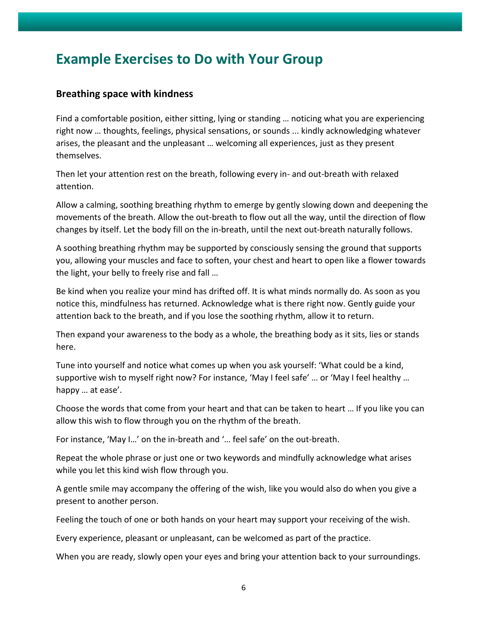### **Example Exercises to Do with Your Group**

#### **Breathing space with kindness**

Find a comfortable position, either sitting, lying or standing … noticing what you are experiencing right now … thoughts, feelings, physical sensations, or sounds ... kindly acknowledging whatever arises, the pleasant and the unpleasant … welcoming all experiences, just as they present themselves.

Then let your attention rest on the breath, following every in- and out-breath with relaxed attention.

Allow a calming, soothing breathing rhythm to emerge by gently slowing down and deepening the movements of the breath. Allow the out-breath to flow out all the way, until the direction of flow changes by itself. Let the body fill on the in-breath, until the next out-breath naturally follows.

A soothing breathing rhythm may be supported by consciously sensing the ground that supports you, allowing your muscles and face to soften, your chest and heart to open like a flower towards the light, your belly to freely rise and fall …

Be kind when you realize your mind has drifted off. It is what minds normally do. As soon as you notice this, mindfulness has returned. Acknowledge what is there right now. Gently guide your attention back to the breath, and if you lose the soothing rhythm, allow it to return.

Then expand your awareness to the body as a whole, the breathing body as it sits, lies or stands here.

Tune into yourself and notice what comes up when you ask yourself: 'What could be a kind, supportive wish to myself right now? For instance, 'May I feel safe' … or 'May I feel healthy … happy … at ease'.

Choose the words that come from your heart and that can be taken to heart … If you like you can allow this wish to flow through you on the rhythm of the breath.

For instance, 'May I…' on the in-breath and '… feel safe' on the out-breath.

Repeat the whole phrase or just one or two keywords and mindfully acknowledge what arises while you let this kind wish flow through you.

A gentle smile may accompany the offering of the wish, like you would also do when you give a present to another person.

Feeling the touch of one or both hands on your heart may support your receiving of the wish.

Every experience, pleasant or unpleasant, can be welcomed as part of the practice.

When you are ready, slowly open your eyes and bring your attention back to your surroundings.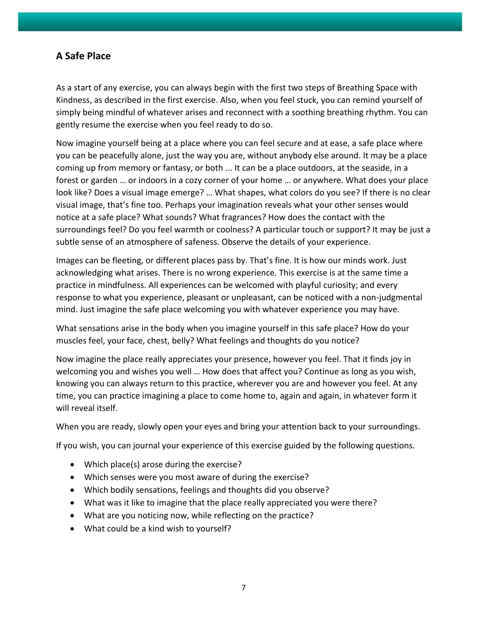#### **A Safe Place**

As a start of any exercise, you can always begin with the first two steps of Breathing Space with Kindness, as described in the first exercise. Also, when you feel stuck, you can remind yourself of simply being mindful of whatever arises and reconnect with a soothing breathing rhythm. You can gently resume the exercise when you feel ready to do so.

Now imagine yourself being at a place where you can feel secure and at ease, a safe place where you can be peacefully alone, just the way you are, without anybody else around. It may be a place coming up from memory or fantasy, or both ... It can be a place outdoors, at the seaside, in a forest or garden … or indoors in a cozy corner of your home … or anywhere. What does your place look like? Does a visual image emerge? … What shapes, what colors do you see? If there is no clear visual image, that's fine too. Perhaps your imagination reveals what your other senses would notice at a safe place? What sounds? What fragrances? How does the contact with the surroundings feel? Do you feel warmth or coolness? A particular touch or support? It may be just a subtle sense of an atmosphere of safeness. Observe the details of your experience.

Images can be fleeting, or different places pass by. That's fine. It is how our minds work. Just acknowledging what arises. There is no wrong experience. This exercise is at the same time a practice in mindfulness. All experiences can be welcomed with playful curiosity; and every response to what you experience, pleasant or unpleasant, can be noticed with a non-judgmental mind. Just imagine the safe place welcoming you with whatever experience you may have.

What sensations arise in the body when you imagine yourself in this safe place? How do your muscles feel, your face, chest, belly? What feelings and thoughts do you notice?

Now imagine the place really appreciates your presence, however you feel. That it finds joy in welcoming you and wishes you well … How does that affect you? Continue as long as you wish, knowing you can always return to this practice, wherever you are and however you feel. At any time, you can practice imagining a place to come home to, again and again, in whatever form it will reveal itself.

When you are ready, slowly open your eyes and bring your attention back to your surroundings.

If you wish, you can journal your experience of this exercise guided by the following questions.

- Which place(s) arose during the exercise?
- Which senses were you most aware of during the exercise?
- Which bodily sensations, feelings and thoughts did you observe?
- What was it like to imagine that the place really appreciated you were there?
- What are you noticing now, while reflecting on the practice?
- What could be a kind wish to yourself?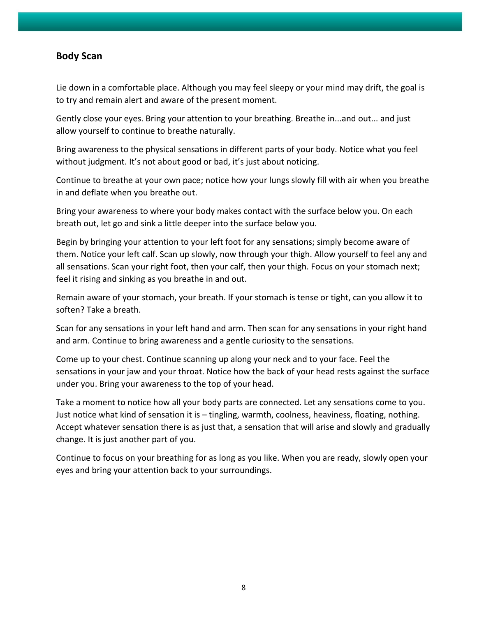#### **Body Scan**

Lie down in a comfortable place. Although you may feel sleepy or your mind may drift, the goal is to try and remain alert and aware of the present moment.

Gently close your eyes. Bring your attention to your breathing. Breathe in...and out... and just allow yourself to continue to breathe naturally.

Bring awareness to the physical sensations in different parts of your body. Notice what you feel without judgment. It's not about good or bad, it's just about noticing.

Continue to breathe at your own pace; notice how your lungs slowly fill with air when you breathe in and deflate when you breathe out.

Bring your awareness to where your body makes contact with the surface below you. On each breath out, let go and sink a little deeper into the surface below you.

Begin by bringing your attention to your left foot for any sensations; simply become aware of them. Notice your left calf. Scan up slowly, now through your thigh. Allow yourself to feel any and all sensations. Scan your right foot, then your calf, then your thigh. Focus on your stomach next; feel it rising and sinking as you breathe in and out.

Remain aware of your stomach, your breath. If your stomach is tense or tight, can you allow it to soften? Take a breath.

Scan for any sensations in your left hand and arm. Then scan for any sensations in your right hand and arm. Continue to bring awareness and a gentle curiosity to the sensations.

Come up to your chest. Continue scanning up along your neck and to your face. Feel the sensations in your jaw and your throat. Notice how the back of your head rests against the surface under you. Bring your awareness to the top of your head.

Take a moment to notice how all your body parts are connected. Let any sensations come to you. Just notice what kind of sensation it is – tingling, warmth, coolness, heaviness, floating, nothing. Accept whatever sensation there is as just that, a sensation that will arise and slowly and gradually change. It is just another part of you.

Continue to focus on your breathing for as long as you like. When you are ready, slowly open your eyes and bring your attention back to your surroundings.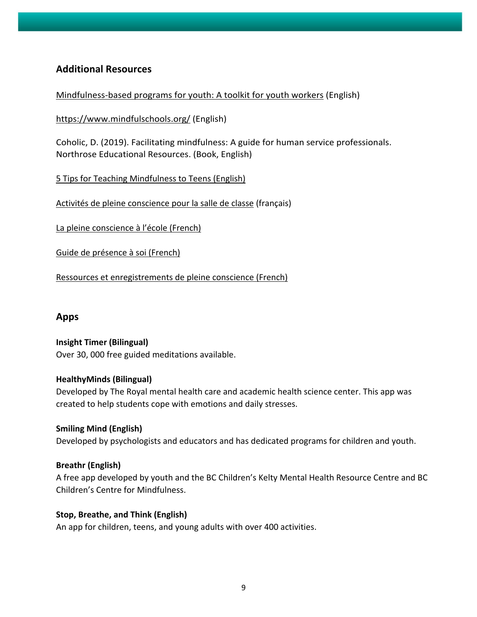#### **Additional Resources**

[Mindfulness-based programs for youth: A toolkit for youth workers](https://youthrex.com/wp-content/uploads/2020/05/YouthREX-Toolkit-Mindfulness-Based-Programs-for-Youth-2020.pdf) (English)

<https://www.mindfulschools.org/> (English)

Coholic, D. (2019). Facilitating mindfulness: A guide for human service professionals. Northrose Educational Resources. (Book, English)

[5 Tips for Teaching Mindfulness to Teens](https://greatergood.berkeley.edu/article/item/five_tips_for_teaching_mindfulness_to_at_risk_teens) (English)

[Activités de pleine conscience pour la salle de classe](https://www.taalecole.ca/wp-content/uploads/2014/05/MindfulnessPractices_FRE.pdf) (français)

La [pleine conscience à l'école](https://cdn.fondationjeunesentete.org/wp-content/uploads/2021/11/16161317/Guide-pleine-conscience-FINAL.pdf?_ga=2.22805816.225943218.1642690491-219224866.1642690491) (French)

[Guide de présence à soi \(French\)](https://sante-mentale-jeunesse.usherbrooke.ca/wp-content/uploads/2018/12/Final-GPS.pdf)

[Ressources et enregistrements de](https://fondationjeunesentete.org/trousse-enseignant/thematique-pleine-conscience/#podcasts-anchor) pleine conscience (French)

#### **Apps**

**Insight Timer (Bilingual)**  Over 30, 000 free guided meditations available.

#### **HealthyMinds (Bilingual)**

Developed by The Royal mental health care and academic health science center. This app was created to help students cope with emotions and daily stresses.

**Smiling Mind (English)** Developed by psychologists and educators and has dedicated programs for children and youth.

#### **Breathr (English)**

A free app developed by youth and the BC Children's Kelty Mental Health Resource Centre and BC Children's Centre for Mindfulness.

#### **Stop, Breathe, and Think (English)**

An app for children, teens, and young adults with over 400 activities.